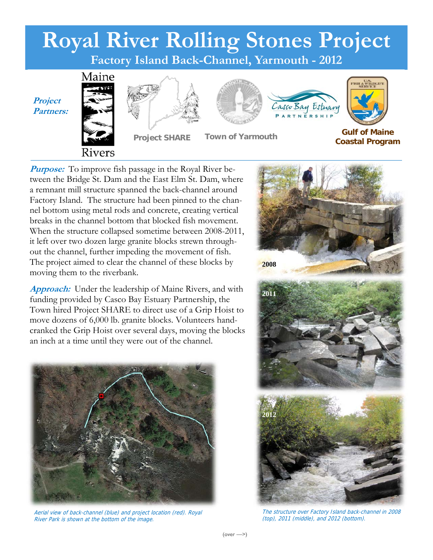

*Purpose:* To improve fish passage in the Royal River between the Bridge St. Dam and the East Elm St. Dam, where a remnant mill structure spanned the back-channel around Factory Island. The structure had been pinned to the channel bottom using metal rods and concrete, creating vertical breaks in the channel bottom that blocked fish movement. When the structure collapsed sometime between 2008-2011, it left over two dozen large granite blocks strewn throughout the channel, further impeding the movement of fish. The project aimed to clear the channel of these blocks by moving them to the riverbank.

**Approach:** Under the leadership of Maine Rivers, and with funding provided by Casco Bay Estuary Partnership, the Town hired Project SHARE to direct use of a Grip Hoist to move dozens of 6,000 lb. granite blocks. Volunteers handcranked the Grip Hoist over several days, moving the blocks an inch at a time until they were out of the channel.



Aerial view of back-channel (blue) and project location (red). Royal River Park is shown at the bottom of the image.



The structure over Factory Island back-channel in 2008 (top), 2011 (middle), and 2012 (bottom).